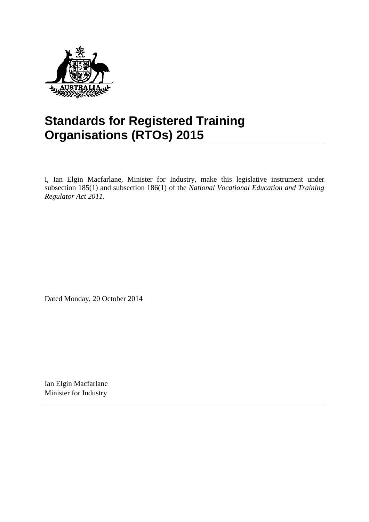

# **Standards for Registered Training Organisations (RTOs) 2015**

I, Ian Elgin Macfarlane, Minister for Industry, make this legislative instrument under subsection 185(1) and subsection 186(1) of the *National Vocational Education and Training Regulator Act 2011*.

Dated Monday, 20 October 2014

Ian Elgin Macfarlane Minister for Industry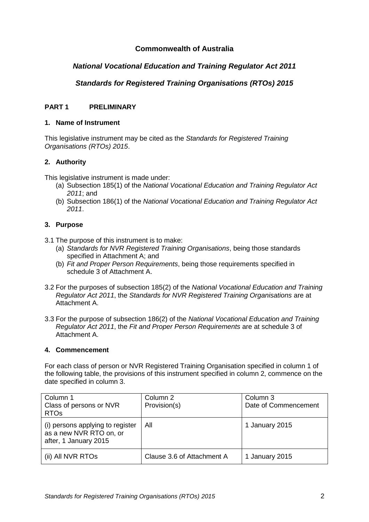### **Commonwealth of Australia**

### *National Vocational Education and Training Regulator Act 2011*

### *Standards for Registered Training Organisations (RTOs) 2015*

#### **PART 1 PRELIMINARY**

#### **1. Name of Instrument**

This legislative instrument may be cited as the *Standards for Registered Training Organisations (RTOs) 2015*.

#### **2. Authority**

This legislative instrument is made under:

- (a) Subsection 185(1) of the *National Vocational Education and Training Regulator Act 2011*; and
- (b) Subsection 186(1) of the *National Vocational Education and Training Regulator Act 2011*.

#### **3. Purpose**

- 3.1 The purpose of this instrument is to make:
	- (a) *Standards for NVR Registered Training Organisations*, being those standards specified in Attachment A; and
	- (b) *Fit and Proper Person Requirements*, being those requirements specified in schedule 3 of Attachment A.
- 3.2 For the purposes of subsection 185(2) of the *National Vocational Education and Training Regulator Act 2011*, the *Standards for NVR Registered Training Organisations* are at Attachment A.
- 3.3 For the purpose of subsection 186(2) of the *National Vocational Education and Training Regulator Act 2011*, the *Fit and Proper Person Requirements* are at schedule 3 of Attachment A.

#### **4. Commencement**

For each class of person or NVR Registered Training Organisation specified in column 1 of the following table, the provisions of this instrument specified in column 2, commence on the date specified in column 3.

| Column 1<br>Class of persons or NVR<br><b>RTOs</b>                                   | Column 2<br>Provision(s)   | Column 3<br>Date of Commencement |
|--------------------------------------------------------------------------------------|----------------------------|----------------------------------|
| (i) persons applying to register<br>as a new NVR RTO on, or<br>after, 1 January 2015 | Αll                        | 1 January 2015                   |
| (ii) All NVR RTOs                                                                    | Clause 3.6 of Attachment A | 1 January 2015                   |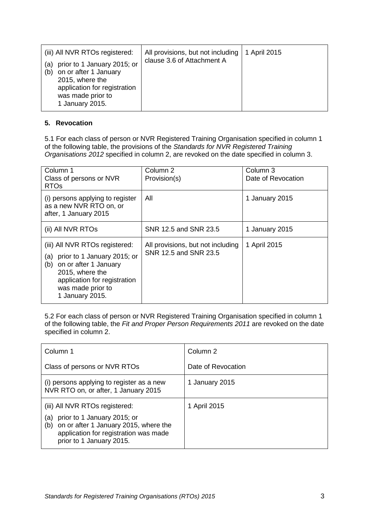| (iii) All NVR RTOs registered:<br>prior to 1 January 2015; or<br>(a)<br>on or after 1 January<br>(b)<br>2015, where the<br>application for registration<br>was made prior to<br>1 January 2015. | All provisions, but not including<br>clause 3.6 of Attachment A | 1 April 2015 |
|-------------------------------------------------------------------------------------------------------------------------------------------------------------------------------------------------|-----------------------------------------------------------------|--------------|
|-------------------------------------------------------------------------------------------------------------------------------------------------------------------------------------------------|-----------------------------------------------------------------|--------------|

#### **5. Revocation**

5.1 For each class of person or NVR Registered Training Organisation specified in column 1 of the following table, the provisions of the *Standards for NVR Registered Training Organisations 2012* specified in column 2, are revoked on the date specified in column 3.

| Column 1<br>Class of persons or NVR<br><b>RTOs</b>                                                                                                                                              | Column 2<br>Provision(s)                                   | Column 3<br>Date of Revocation |
|-------------------------------------------------------------------------------------------------------------------------------------------------------------------------------------------------|------------------------------------------------------------|--------------------------------|
| (i) persons applying to register<br>as a new NVR RTO on, or<br>after, 1 January 2015                                                                                                            | All                                                        | 1 January 2015                 |
| (ii) All NVR RTOs                                                                                                                                                                               | SNR 12.5 and SNR 23.5                                      | 1 January 2015                 |
| (iii) All NVR RTOs registered:<br>prior to 1 January 2015; or<br>(a)<br>on or after 1 January<br>(b)<br>2015, where the<br>application for registration<br>was made prior to<br>1 January 2015. | All provisions, but not including<br>SNR 12.5 and SNR 23.5 | 1 April 2015                   |

5.2 For each class of person or NVR Registered Training Organisation specified in column 1 of the following table, the *Fit and Proper Person Requirements 2011* are revoked on the date specified in column 2.

| Column 1                                                                                                                                                                                  | Column 2           |  |
|-------------------------------------------------------------------------------------------------------------------------------------------------------------------------------------------|--------------------|--|
| Class of persons or NVR RTOs                                                                                                                                                              | Date of Revocation |  |
| (i) persons applying to register as a new<br>NVR RTO on, or after, 1 January 2015                                                                                                         | 1 January 2015     |  |
| (iii) All NVR RTOs registered:<br>prior to 1 January 2015; or<br>(a)<br>on or after 1 January 2015, where the<br>(b)<br>application for registration was made<br>prior to 1 January 2015. | 1 April 2015       |  |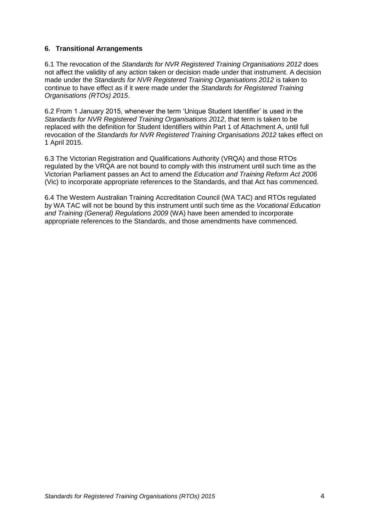#### **6. Transitional Arrangements**

6.1 The revocation of the *Standards for NVR Registered Training Organisations 2012* does not affect the validity of any action taken or decision made under that instrument. A decision made under the *Standards for NVR Registered Training Organisations 2012* is taken to continue to have effect as if it were made under the *Standards for Registered Training Organisations (RTOs) 2015*.

6.2 From 1 January 2015, whenever the term 'Unique Student Identifier' is used in the *Standards for NVR Registered Training Organisations 2012*, that term is taken to be replaced with the definition for Student Identifiers within Part 1 of Attachment A, until full revocation of the *Standards for NVR Registered Training Organisations 2012* takes effect on 1 April 2015.

6.3 The Victorian Registration and Qualifications Authority (VRQA) and those RTOs regulated by the VRQA are not bound to comply with this instrument until such time as the Victorian Parliament passes an Act to amend the *Education and Training Reform Act 2006* (Vic) to incorporate appropriate references to the Standards, and that Act has commenced.

6.4 The Western Australian Training Accreditation Council (WA TAC) and RTOs regulated by WA TAC will not be bound by this instrument until such time as the *Vocational Education and Training (General) Regulations 2009* (WA) have been amended to incorporate appropriate references to the Standards, and those amendments have commenced.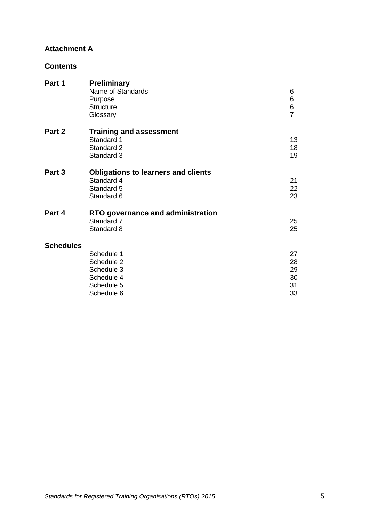### **Attachment A**

### **Contents**

| Part 1           | <b>Preliminary</b><br>Name of Standards<br>Purpose<br><b>Structure</b><br>Glossary | 6<br>6<br>6<br>$\overline{7}$ |
|------------------|------------------------------------------------------------------------------------|-------------------------------|
| Part 2           | <b>Training and assessment</b>                                                     |                               |
|                  | Standard 1                                                                         | 13                            |
|                  | Standard 2                                                                         | 18                            |
|                  | Standard 3                                                                         | 19                            |
| Part 3           | <b>Obligations to learners and clients</b>                                         |                               |
|                  | Standard 4                                                                         | 21                            |
|                  | Standard 5                                                                         | 22                            |
|                  | Standard 6                                                                         | 23                            |
| Part 4           | RTO governance and administration                                                  |                               |
|                  | Standard 7                                                                         | 25                            |
|                  | Standard 8                                                                         | 25                            |
| <b>Schedules</b> |                                                                                    |                               |
|                  | Schedule 1                                                                         | 27                            |
|                  | Schedule 2                                                                         | 28                            |
|                  | Schedule 3                                                                         | 29                            |
|                  | Schedule 4                                                                         | 30                            |
|                  | Schedule 5                                                                         | 31                            |
|                  | Schedule 6                                                                         | 33                            |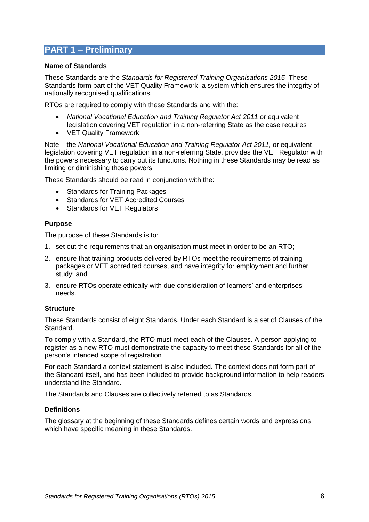### **PART 1 – Preliminary**

#### **Name of Standards**

These Standards are the *Standards for Registered Training Organisations 2015*. These Standards form part of the VET Quality Framework, a system which ensures the integrity of nationally recognised qualifications.

RTOs are required to comply with these Standards and with the:

- *National Vocational Education and Training Regulator Act 2011* or equivalent legislation covering VET regulation in a non-referring State as the case requires
- VET Quality Framework

Note – the *National Vocational Education and Training Regulator Act 2011,* or equivalent legislation covering VET regulation in a non-referring State, provides the VET Regulator with the powers necessary to carry out its functions. Nothing in these Standards may be read as limiting or diminishing those powers.

These Standards should be read in conjunction with the:

- Standards for Training Packages
- Standards for VET Accredited Courses
- Standards for VET Regulators

#### **Purpose**

The purpose of these Standards is to:

- 1. set out the requirements that an organisation must meet in order to be an RTO;
- 2. ensure that training products delivered by RTOs meet the requirements of training packages or VET accredited courses, and have integrity for employment and further study; and
- 3. ensure RTOs operate ethically with due consideration of learners' and enterprises' needs.

#### **Structure**

These Standards consist of eight Standards. Under each Standard is a set of Clauses of the Standard.

To comply with a Standard, the RTO must meet each of the Clauses. A person applying to register as a new RTO must demonstrate the capacity to meet these Standards for all of the person's intended scope of registration.

For each Standard a context statement is also included. The context does not form part of the Standard itself, and has been included to provide background information to help readers understand the Standard.

The Standards and Clauses are collectively referred to as Standards.

#### **Definitions**

The glossary at the beginning of these Standards defines certain words and expressions which have specific meaning in these Standards.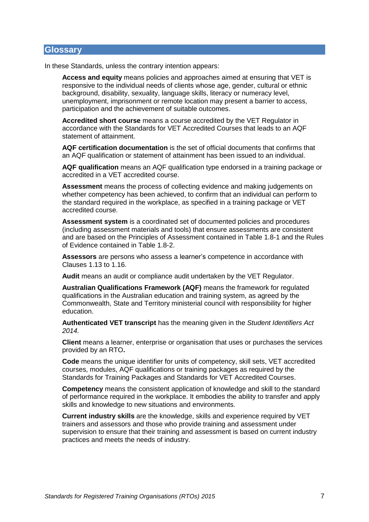#### **Glossary**

In these Standards, unless the contrary intention appears:

**Access and equity** means policies and approaches aimed at ensuring that VET is responsive to the individual needs of clients whose age, gender, cultural or ethnic background, disability, sexuality, language skills, literacy or numeracy level, unemployment, imprisonment or remote location may present a barrier to access, participation and the achievement of suitable outcomes.

**Accredited short course** means a course accredited by the VET Regulator in accordance with the Standards for VET Accredited Courses that leads to an AQF statement of attainment.

**AQF certification documentation** is the set of official documents that confirms that an AQF qualification or statement of attainment has been issued to an individual.

**AQF qualification** means an AQF qualification type endorsed in a training package or accredited in a VET accredited course.

**Assessment** means the process of collecting evidence and making judgements on whether competency has been achieved, to confirm that an individual can perform to the standard required in the workplace, as specified in a training package or VET accredited course.

**Assessment system** is a coordinated set of documented policies and procedures (including assessment materials and tools) that ensure assessments are consistent and are based on the Principles of Assessment contained in Table 1.8-1 and the Rules of Evidence contained in Table 1.8-2.

**Assessors** are persons who assess a learner's competence in accordance with Clauses [1.13](#page-15-0) to [1.16.](#page-15-1)

**Audit** means an audit or compliance audit undertaken by the VET Regulator.

**Australian Qualifications Framework (AQF)** means the framework for regulated qualifications in the Australian education and training system, as agreed by the Commonwealth, State and Territory ministerial council with responsibility for higher education.

**Authenticated VET transcript** has the meaning given in the *Student Identifiers Act 2014.*

**Client** means a learner, enterprise or organisation that uses or purchases the services provided by an RTO**.** 

**Code** means the unique identifier for units of competency, skill sets, VET accredited courses, modules, AQF qualifications or training packages as required by the Standards for Training Packages and Standards for VET Accredited Courses.

**Competency** means the consistent application of knowledge and skill to the standard of performance required in the workplace. It embodies the ability to transfer and apply skills and knowledge to new situations and environments.

**Current industry skills** are the knowledge, skills and experience required by VET trainers and assessors and those who provide training and assessment under supervision to ensure that their training and assessment is based on current industry practices and meets the needs of industry.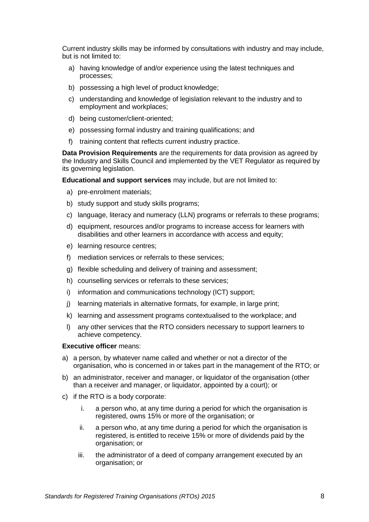Current industry skills may be informed by consultations with industry and may include, but is not limited to:

- a) having knowledge of and/or experience using the latest techniques and processes;
- b) possessing a high level of product knowledge;
- c) understanding and knowledge of legislation relevant to the industry and to employment and workplaces;
- d) being customer/client-oriented;
- e) possessing formal industry and training qualifications; and
- f) training content that reflects current industry practice.

**Data Provision Requirements** are the requirements for data provision as agreed by the Industry and Skills Council and implemented by the VET Regulator as required by its governing legislation.

**Educational and support services** may include, but are not limited to:

- a) pre-enrolment materials;
- b) study support and study skills programs;
- c) language, literacy and numeracy (LLN) programs or referrals to these programs;
- d) equipment, resources and/or programs to increase access for learners with disabilities and other learners in accordance with access and equity;
- e) learning resource centres;
- f) mediation services or referrals to these services;
- g) flexible scheduling and delivery of training and assessment;
- h) counselling services or referrals to these services;
- i) information and communications technology (ICT) support;
- j) learning materials in alternative formats, for example, in large print;
- k) learning and assessment programs contextualised to the workplace; and
- l) any other services that the RTO considers necessary to support learners to achieve competency.

#### **Executive officer** means:

- a) a person, by whatever name called and whether or not a director of the organisation, who is concerned in or takes part in the management of the RTO; or
- b) an administrator, receiver and manager, or liquidator of the organisation (other than a receiver and manager, or liquidator, appointed by a court); or
- c) if the RTO is a body corporate:
	- i. a person who, at any time during a period for which the organisation is registered, owns 15% or more of the organisation; or
	- ii. a person who, at any time during a period for which the organisation is registered, is entitled to receive 15% or more of dividends paid by the organisation; or
	- iii. the administrator of a deed of company arrangement executed by an organisation; or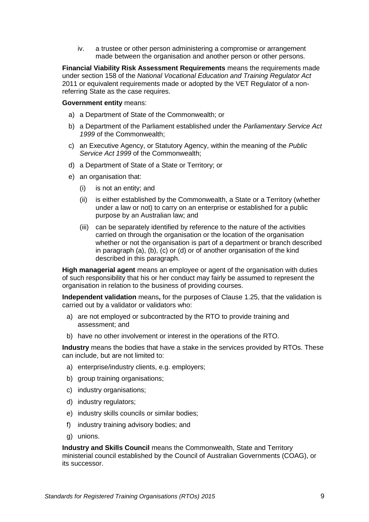iv. a trustee or other person administering a compromise or arrangement made between the organisation and another person or other persons.

**Financial Viability Risk Assessment Requirements** means the requirements made under section 158 of the *National Vocational Education and Training Regulator Act*  2011 or equivalent requirements made or adopted by the VET Regulator of a nonreferring State as the case requires.

#### **Government entity** means:

- a) a Department of State of the Commonwealth; or
- b) a Department of the Parliament established under the *Parliamentary Service Act 1999* of the Commonwealth;
- c) an Executive Agency, or Statutory Agency, within the meaning of the *Public Service Act 1999* of the Commonwealth;
- d) a Department of State of a State or Territory; or
- e) an organisation that:
	- (i) is not an entity; and
	- (ii) is either established by the Commonwealth, a State or a Territory (whether under a law or not) to carry on an enterprise or established for a public purpose by an Australian law; and
	- (iii) can be separately identified by reference to the nature of the activities carried on through the organisation or the location of the organisation whether or not the organisation is part of a department or branch described in paragraph (a), (b), (c) or (d) or of another organisation of the kind described in this paragraph.

**High managerial agent** means an employee or agent of the organisation with duties of such responsibility that his or her conduct may fairly be assumed to represent the organisation in relation to the business of providing courses.

**Independent validation** means**,** for the purposes of Clause 1.25, that the validation is carried out by a validator or validators who:

- a) are not employed or subcontracted by the RTO to provide training and assessment; and
- b) have no other involvement or interest in the operations of the RTO.

**Industry** means the bodies that have a stake in the services provided by RTOs. These can include, but are not limited to:

- a) enterprise/industry clients, e.g. employers;
- b) group training organisations:
- c) industry organisations;
- d) industry regulators;
- e) industry skills councils or similar bodies;
- f) industry training advisory bodies; and
- g) unions.

**Industry and Skills Council** means the Commonwealth, State and Territory ministerial council established by the Council of Australian Governments (COAG), or its successor.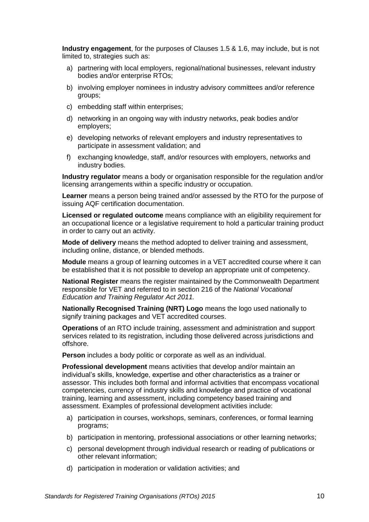**Industry engagement**, for the purposes of Clauses [1.5](#page-13-0) & [1.6,](#page-13-1) may include, but is not limited to, strategies such as:

- a) partnering with local employers, regional/national businesses, relevant industry bodies and/or enterprise RTOs;
- b) involving employer nominees in industry advisory committees and/or reference groups;
- c) embedding staff within enterprises;
- d) networking in an ongoing way with industry networks, peak bodies and/or employers;
- e) developing networks of relevant employers and industry representatives to participate in assessment validation; and
- f) exchanging knowledge, staff, and/or resources with employers, networks and industry bodies.

**Industry regulator** means a body or organisation responsible for the regulation and/or licensing arrangements within a specific industry or occupation.

**Learner** means a person being trained and/or assessed by the RTO for the purpose of issuing AQF certification documentation.

**Licensed or regulated outcome** means compliance with an eligibility requirement for an occupational licence or a legislative requirement to hold a particular training product in order to carry out an activity.

**Mode of delivery** means the method adopted to deliver training and assessment, including online, distance, or blended methods.

**Module** means a group of learning outcomes in a VET accredited course where it can be established that it is not possible to develop an appropriate unit of competency.

**National Register** means the register maintained by the Commonwealth Department responsible for VET and referred to in section 216 of the *National Vocational Education and Training Regulator Act 2011.* 

**Nationally Recognised Training (NRT) Logo** means the logo used nationally to signify training packages and VET accredited courses.

**Operations** of an RTO include training, assessment and administration and support services related to its registration, including those delivered across jurisdictions and offshore.

**Person** includes a body politic or corporate as well as an individual.

**Professional development** means activities that develop and/or maintain an individual's skills, knowledge, expertise and other characteristics as a trainer or assessor. This includes both formal and informal activities that encompass vocational competencies, currency of industry skills and knowledge and practice of vocational training, learning and assessment, including competency based training and assessment. Examples of professional development activities include:

- a) participation in courses, workshops, seminars, conferences, or formal learning programs;
- b) participation in mentoring, professional associations or other learning networks;
- c) personal development through individual research or reading of publications or other relevant information;
- d) participation in moderation or validation activities; and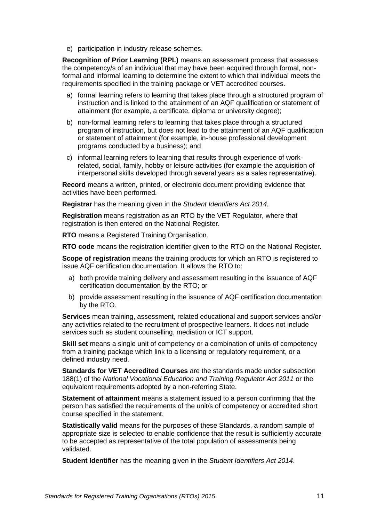e) participation in industry release schemes.

**Recognition of Prior Learning (RPL)** means an assessment process that assesses the competency/s of an individual that may have been acquired through formal, nonformal and informal learning to determine the extent to which that individual meets the requirements specified in the training package or VET accredited courses.

- a) formal learning refers to learning that takes place through a structured program of instruction and is linked to the attainment of an AQF qualification or statement of attainment (for example, a certificate, diploma or university degree);
- b) non-formal learning refers to learning that takes place through a structured program of instruction, but does not lead to the attainment of an AQF qualification or statement of attainment (for example, in-house professional development programs conducted by a business); and
- c) informal learning refers to learning that results through experience of workrelated, social, family, hobby or leisure activities (for example the acquisition of interpersonal skills developed through several years as a sales representative).

**Record** means a written, printed, or electronic document providing evidence that activities have been performed.

**Registrar** has the meaning given in the *Student Identifiers Act 2014.*

**Registration** means registration as an RTO by the VET Regulator, where that registration is then entered on the National Register.

**RTO** means a Registered Training Organisation.

**RTO code** means the registration identifier given to the RTO on the National Register.

**Scope of registration** means the training products for which an RTO is registered to issue AQF certification documentation. It allows the RTO to:

- a) both provide training delivery and assessment resulting in the issuance of AQF certification documentation by the RTO; or
- b) provide assessment resulting in the issuance of AQF certification documentation by the RTO.

**Services** mean training, assessment, related educational and support services and/or any activities related to the recruitment of prospective learners. It does not include services such as student counselling, mediation or ICT support.

**Skill set** means a single unit of competency or a combination of units of competency from a training package which link to a licensing or regulatory requirement, or a defined industry need.

**Standards for VET Accredited Courses** are the standards made under subsection 188(1) of the *National Vocational Education and Training Regulator Act 2011* or the equivalent requirements adopted by a non-referring State.

**Statement of attainment** means a statement issued to a person confirming that the person has satisfied the requirements of the unit/s of competency or accredited short course specified in the statement.

**Statistically valid** means for the purposes of these Standards, a random sample of appropriate size is selected to enable confidence that the result is sufficiently accurate to be accepted as representative of the total population of assessments being validated.

**Student Identifier** has the meaning given in the *Student Identifiers Act 2014*.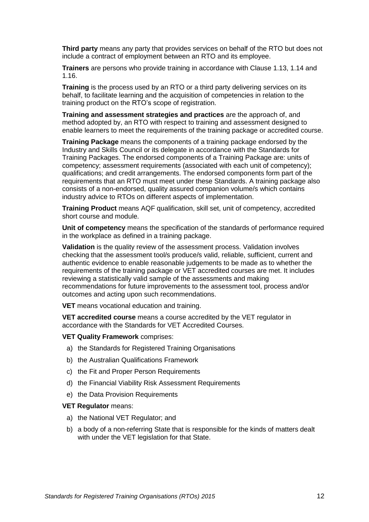**Third party** means any party that provides services on behalf of the RTO but does not include a contract of employment between an RTO and its employee.

**Trainers** are persons who provide training in accordance with Clause [1.13,](#page-15-0) [1.14](#page-15-2) and [1.16.](#page-15-1)

**Training** is the process used by an RTO or a third party delivering services on its behalf, to facilitate learning and the acquisition of competencies in relation to the training product on the RTO's scope of registration.

**Training and assessment strategies and practices** are the approach of, and method adopted by, an RTO with respect to training and assessment designed to enable learners to meet the requirements of the training package or accredited course.

**Training Package** means the components of a training package endorsed by the Industry and Skills Council or its delegate in accordance with the Standards for Training Packages. The endorsed components of a Training Package are: units of competency; assessment requirements (associated with each unit of competency); qualifications; and credit arrangements. The endorsed components form part of the requirements that an RTO must meet under these Standards. A training package also consists of a non-endorsed, quality assured companion volume/s which contains industry advice to RTOs on different aspects of implementation.

**Training Product** means AQF qualification, skill set, unit of competency, accredited short course and module.

**Unit of competency** means the specification of the standards of performance required in the workplace as defined in a training package.

**Validation** is the quality review of the assessment process. Validation involves checking that the assessment tool/s produce/s valid, reliable, sufficient, current and authentic evidence to enable reasonable judgements to be made as to whether the requirements of the training package or VET accredited courses are met. It includes reviewing a statistically valid sample of the assessments and making recommendations for future improvements to the assessment tool, process and/or outcomes and acting upon such recommendations.

**VET** means vocational education and training.

**VET accredited course** means a course accredited by the VET regulator in accordance with the Standards for VET Accredited Courses.

**VET Quality Framework** comprises:

- a) the Standards for Registered Training Organisations
- b) the Australian Qualifications Framework
- c) the Fit and Proper Person Requirements
- d) the Financial Viability Risk Assessment Requirements
- e) the Data Provision Requirements

#### **VET Regulator** means:

- a) the National VET Regulator; and
- b) a body of a non-referring State that is responsible for the kinds of matters dealt with under the VET legislation for that State.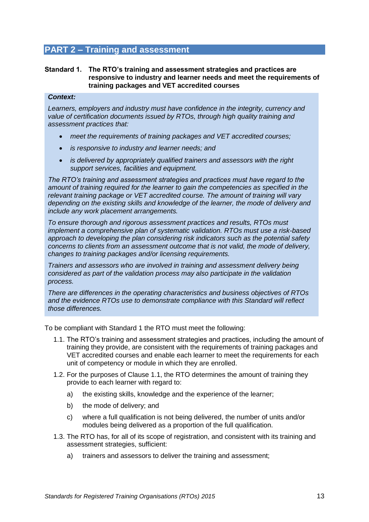### <span id="page-12-0"></span>**PART 2 – Training and assessment**

#### **Standard 1. The RTO's training and assessment strategies and practices are responsive to industry and learner needs and meet the requirements of training packages and VET accredited courses**

#### *Context:*

*Learners, employers and industry must have confidence in the integrity, currency and value of certification documents issued by RTOs, through high quality training and assessment practices that:*

- *meet the requirements of training packages and VET accredited courses;*
- *is responsive to industry and learner needs; and*
- *is delivered by appropriately qualified trainers and assessors with the right support services, facilities and equipment.*

*The RTO's training and assessment strategies and practices must have regard to the amount of training required for the learner to gain the competencies as specified in the relevant training package or VET accredited course. The amount of training will vary depending on the existing skills and knowledge of the learner, the mode of delivery and include any work placement arrangements.*

*To ensure thorough and rigorous assessment practices and results, RTOs must implement a comprehensive plan of systematic validation. RTOs must use a risk-based approach to developing the plan considering risk indicators such as the potential safety concerns to clients from an assessment outcome that is not valid, the mode of delivery, changes to training packages and/or licensing requirements.* 

*Trainers and assessors who are involved in training and assessment delivery being considered as part of the validation process may also participate in the validation process.* 

*There are differences in the operating characteristics and business objectives of RTOs and the evidence RTOs use to demonstrate compliance with this Standard will reflect those differences.*

To be compliant with [Standard 1](#page-12-0) the RTO must meet the following:

- 1.1. The RTO's training and assessment strategies and practices, including the amount of training they provide, are consistent with the requirements of training packages and VET accredited courses and enable each learner to meet the requirements for each unit of competency or module in which they are enrolled.
- 1.2. For the purposes of Clause 1.1, the RTO determines the amount of training they provide to each learner with regard to:
	- a) the existing skills, knowledge and the experience of the learner;
	- b) the mode of delivery; and
	- c) where a full qualification is not being delivered, the number of units and/or modules being delivered as a proportion of the full qualification.
- 1.3. The RTO has, for all of its scope of registration, and consistent with its training and assessment strategies, sufficient:
	- a) trainers and assessors to deliver the training and assessment;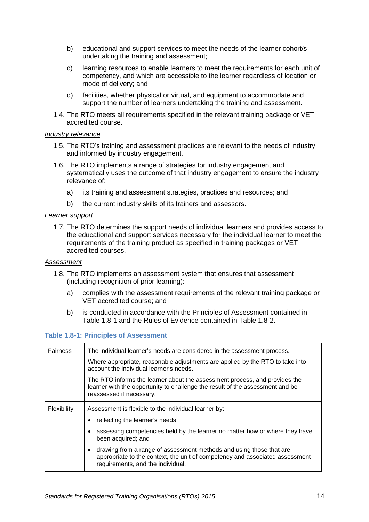- b) educational and support services to meet the needs of the learner cohort/s undertaking the training and assessment;
- c) learning resources to enable learners to meet the requirements for each unit of competency, and which are accessible to the learner regardless of location or mode of delivery; and
- d) facilities, whether physical or virtual, and equipment to accommodate and support the number of learners undertaking the training and assessment.
- 1.4. The RTO meets all requirements specified in the relevant training package or VET accredited course.

#### *Industry relevance*

- <span id="page-13-0"></span>1.5. The RTO's training and assessment practices are relevant to the needs of industry and informed by industry engagement.
- <span id="page-13-1"></span>1.6. The RTO implements a range of strategies for industry engagement and systematically uses the outcome of that industry engagement to ensure the industry relevance of:
	- a) its training and assessment strategies, practices and resources; and
	- b) the current industry skills of its trainers and assessors.

#### *Learner support*

1.7. The RTO determines the support needs of individual learners and provides access to the educational and support services necessary for the individual learner to meet the requirements of the training product as specified in training packages or VET accredited courses.

#### *Assessment*

- 1.8. The RTO implements an assessment system that ensures that assessment (including recognition of prior learning):
	- a) complies with the assessment requirements of the relevant training package or VET accredited course; and
	- b) is conducted in accordance with the Principles of Assessment contained in Table 1.8-1 and the Rules of Evidence contained in Table 1.8-2.

#### **Table 1.8-1: Principles of Assessment**

| <b>Fairness</b> | The individual learner's needs are considered in the assessment process.                                                                                                                 |  |
|-----------------|------------------------------------------------------------------------------------------------------------------------------------------------------------------------------------------|--|
|                 | Where appropriate, reasonable adjustments are applied by the RTO to take into<br>account the individual learner's needs.                                                                 |  |
|                 | The RTO informs the learner about the assessment process, and provides the<br>learner with the opportunity to challenge the result of the assessment and be<br>reassessed if necessary.  |  |
| Flexibility     | Assessment is flexible to the individual learner by:                                                                                                                                     |  |
|                 | reflecting the learner's needs;                                                                                                                                                          |  |
|                 | assessing competencies held by the learner no matter how or where they have<br>been acquired; and                                                                                        |  |
|                 | drawing from a range of assessment methods and using those that are<br>appropriate to the context, the unit of competency and associated assessment<br>requirements, and the individual. |  |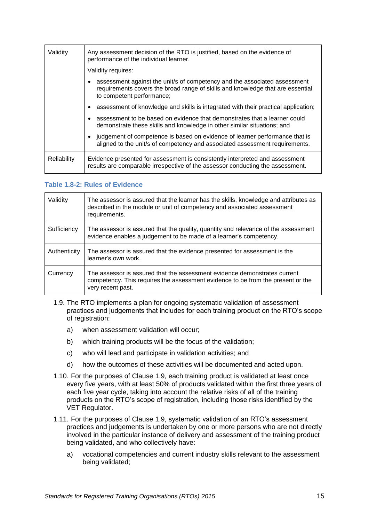| Validity    | Any assessment decision of the RTO is justified, based on the evidence of<br>performance of the individual learner.                                                                      |  |
|-------------|------------------------------------------------------------------------------------------------------------------------------------------------------------------------------------------|--|
|             | Validity requires:                                                                                                                                                                       |  |
|             | assessment against the unit/s of competency and the associated assessment<br>requirements covers the broad range of skills and knowledge that are essential<br>to competent performance; |  |
|             | assessment of knowledge and skills is integrated with their practical application;                                                                                                       |  |
|             | assessment to be based on evidence that demonstrates that a learner could<br>demonstrate these skills and knowledge in other similar situations; and                                     |  |
|             | judgement of competence is based on evidence of learner performance that is<br>aligned to the unit/s of competency and associated assessment requirements.                               |  |
| Reliability | Evidence presented for assessment is consistently interpreted and assessment<br>results are comparable irrespective of the assessor conducting the assessment.                           |  |

#### **Table 1.8-2: Rules of Evidence**

| Validity     | The assessor is assured that the learner has the skills, knowledge and attributes as<br>described in the module or unit of competency and associated assessment<br>requirements.  |
|--------------|-----------------------------------------------------------------------------------------------------------------------------------------------------------------------------------|
| Sufficiency  | The assessor is assured that the quality, quantity and relevance of the assessment<br>evidence enables a judgement to be made of a learner's competency.                          |
| Authenticity | The assessor is assured that the evidence presented for assessment is the<br>learner's own work.                                                                                  |
| Currency     | The assessor is assured that the assessment evidence demonstrates current<br>competency. This requires the assessment evidence to be from the present or the<br>very recent past. |

- <span id="page-14-0"></span>1.9. The RTO implements a plan for ongoing systematic validation of assessment practices and judgements that includes for each training product on the RTO's scope of registration:
	- a) when assessment validation will occur;
	- b) which training products will be the focus of the validation;
	- c) who will lead and participate in validation activities; and
	- d) how the outcomes of these activities will be documented and acted upon.
- 1.10. For the purposes of Clause [1.9,](#page-14-0) each training product is validated at least once every five years, with at least 50% of products validated within the first three years of each five year cycle, taking into account the relative risks of all of the training products on the RTO's scope of registration, including those risks identified by the VET Regulator.
- 1.11. For the purposes of Clause [1.9,](#page-14-0) systematic validation of an RTO's assessment practices and judgements is undertaken by one or more persons who are not directly involved in the particular instance of delivery and assessment of the training product being validated, and who collectively have:
	- a) vocational competencies and current industry skills relevant to the assessment being validated;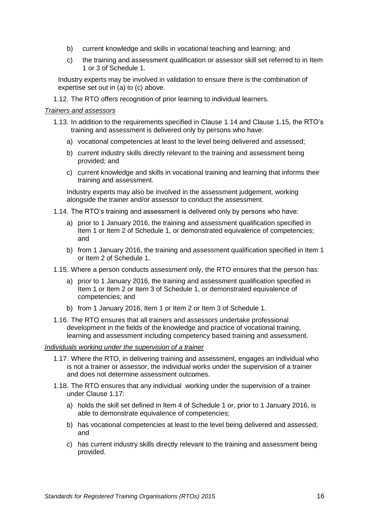- b) current knowledge and skills in vocational teaching and learning; and
- c) the training and assessment qualification or assessor skill set referred to in Item 1 or 3 of [Schedule 1.](#page-26-0)

Industry experts may be involved in validation to ensure there is the combination of expertise set out in (a) to (c) above.

1.12. The RTO offers recognition of prior learning to individual learners.

#### *Trainers and assessors*

- <span id="page-15-0"></span>1.13. In addition to the requirements specified in Clause [1.14](#page-15-2) and Claus[e 1.15,](#page-15-3) the RTO's training and assessment is delivered only by persons who have:
	- a) vocational competencies at least to the level being delivered and assessed;
	- b) current industry skills directly relevant to the training and assessment being provided; and
	- c) current knowledge and skills in vocational training and learning that informs their training and assessment.

Industry experts may also be involved in the assessment judgement, working alongside the trainer and/or assessor to conduct the assessment.

- <span id="page-15-2"></span>1.14. The RTO's training and assessment is delivered only by persons who have:
	- a) prior to 1 January 2016, the training and assessment qualification specified in Item 1 or Item 2 of [Schedule 1,](#page-26-0) or demonstrated equivalence of competencies; and
	- b) from 1 January 2016, the training and assessment qualification specified in Item 1 or Item 2 of [Schedule 1.](#page-26-0)
- <span id="page-15-3"></span>1.15. Where a person conducts assessment only, the RTO ensures that the person has:
	- a) prior to 1 January 2016, the training and assessment qualification specified in Item 1 or Item 2 or Item 3 of [Schedule 1,](#page-26-0) or demonstrated equivalence of competencies; and
	- b) from 1 January 2016, Item 1 or Item 2 or Item 3 of [Schedule 1.](#page-26-0)
- <span id="page-15-1"></span>1.16. The RTO ensures that all trainers and assessors undertake professional development in the fields of the knowledge and practice of vocational training, learning and assessment including competency based training and assessment.

#### *Individuals working under the supervision of a trainer*

- <span id="page-15-4"></span>1.17. Where the RTO, in delivering training and assessment, engages an individual who is not a trainer or assessor, the individual works under the supervision of a trainer and does not determine assessment outcomes.
- <span id="page-15-5"></span>1.18. The RTO ensures that any individual working under the supervision of a trainer under Clause [1.17:](#page-15-4)
	- a) holds the skill set defined in Item 4 of [Schedule 1](#page-26-0) or, prior to 1 January 2016, is able to demonstrate equivalence of competencies;
	- b) has vocational competencies at least to the level being delivered and assessed; and
	- c) has current industry skills directly relevant to the training and assessment being provided.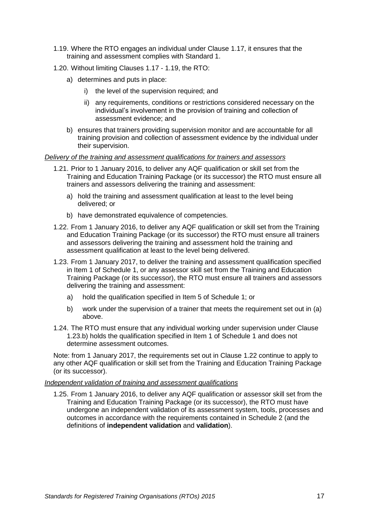- <span id="page-16-0"></span>1.19. Where the RTO engages an individual under Clause [1.17,](#page-15-4) it ensures that the training and assessment complies with [Standard 1.](#page-12-0)
- 1.20. Without limiting Clauses [1.17](#page-15-4) [1.19,](#page-16-0) the RTO:
	- a) determines and puts in place:
		- i) the level of the supervision required; and
		- ii) any requirements, conditions or restrictions considered necessary on the individual's involvement in the provision of training and collection of assessment evidence; and
	- b) ensures that trainers providing supervision monitor and are accountable for all training provision and collection of assessment evidence by the individual under their supervision.

#### *Delivery of the training and assessment qualifications for trainers and assessors*

- 1.21. Prior to 1 January 2016, to deliver any AQF qualification or skill set from the Training and Education Training Package (or its successor) the RTO must ensure all trainers and assessors delivering the training and assessment:
	- a) hold the training and assessment qualification at least to the level being delivered; or
	- b) have demonstrated equivalence of competencies.
- <span id="page-16-2"></span>1.22. From 1 January 2016, to deliver any AQF qualification or skill set from the Training and Education Training Package (or its successor) the RTO must ensure all trainers and assessors delivering the training and assessment hold the training and assessment qualification at least to the level being delivered.
- <span id="page-16-3"></span>1.23. From 1 January 2017, to deliver the training and assessment qualification specified in Item 1 of Schedule 1, or any assessor skill set from the Training and Education Training Package (or its successor), the RTO must ensure all trainers and assessors delivering the training and assessment:
	- a) hold the qualification specified in Item 5 of Schedule 1; or
	- b) work under the supervision of a trainer that meets the requirement set out in (a) above.
- <span id="page-16-1"></span>1.24. The RTO must ensure that any individual working under supervision under Clause [1.23.b\)](#page-16-1) holds the qualification specified in Item 1 of Schedule 1 and does not determine assessment outcomes.

Note: from 1 January 2017, the requirements set out in Clause [1.22](#page-16-2) continue to apply to any other AQF qualification or skill set from the Training and Education Training Package (or its successor).

#### *Independent validation of training and assessment qualifications*

<span id="page-16-4"></span>1.25. From 1 January 2016, to deliver any AQF qualification or assessor skill set from the Training and Education Training Package (or its successor), the RTO must have undergone an independent validation of its assessment system, tools, processes and outcomes in accordance with the requirements contained in [Schedule 2](#page-27-0) (and the definitions of **independent validation** and **validation**).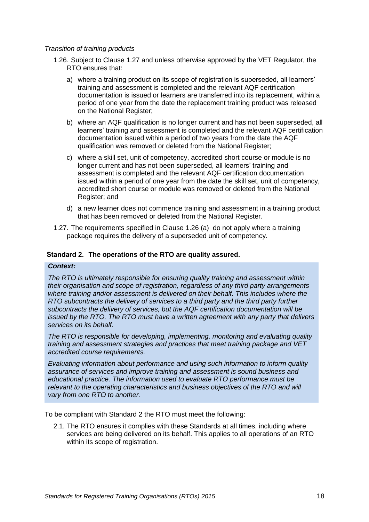#### *Transition of training products*

- <span id="page-17-2"></span><span id="page-17-1"></span>1.26. Subject to Clause [1.27](#page-17-0) and unless otherwise approved by the VET Regulator, the RTO ensures that:
	- a) where a training product on its scope of registration is superseded, all learners' training and assessment is completed and the relevant AQF certification documentation is issued or learners are transferred into its replacement, within a period of one year from the date the replacement training product was released on the National Register;
	- b) where an AQF qualification is no longer current and has not been superseded, all learners' training and assessment is completed and the relevant AQF certification documentation issued within a period of two years from the date the AQF qualification was removed or deleted from the National Register;
	- c) where a skill set, unit of competency, accredited short course or module is no longer current and has not been superseded, all learners' training and assessment is completed and the relevant AQF certification documentation issued within a period of one year from the date the skill set, unit of competency, accredited short course or module was removed or deleted from the National Register; and
	- d) a new learner does not commence training and assessment in a training product that has been removed or deleted from the National Register.
- <span id="page-17-0"></span>1.27. The requirements specified in Clause [1.26](#page-17-1) [\(a\)](#page-17-2) do not apply where a training package requires the delivery of a superseded unit of competency.

#### <span id="page-17-3"></span>**Standard 2. The operations of the RTO are quality assured.**

#### *Context:*

*The RTO is ultimately responsible for ensuring quality training and assessment within their organisation and scope of registration, regardless of any third party arrangements where training and/or assessment is delivered on their behalf. This includes where the RTO subcontracts the delivery of services to a third party and the third party further subcontracts the delivery of services, but the AQF certification documentation will be issued by the RTO. The RTO must have a written agreement with any party that delivers services on its behalf.*

*The RTO is responsible for developing, implementing, monitoring and evaluating quality training and assessment strategies and practices that meet training package and VET accredited course requirements.*

*Evaluating information about performance and using such information to inform quality assurance of services and improve training and assessment is sound business and educational practice. The information used to evaluate RTO performance must be relevant to the operating characteristics and business objectives of the RTO and will vary from one RTO to another.*

To be compliant with [Standard 2](#page-17-3) the RTO must meet the following:

2.1. The RTO ensures it complies with these Standards at all times, including where services are being delivered on its behalf. This applies to all operations of an RTO within its scope of registration.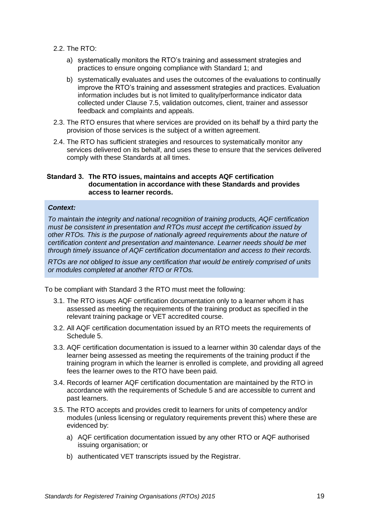- 2.2. The RTO:
	- a) systematically monitors the RTO's training and assessment strategies and practices to ensure ongoing compliance with [Standard 1;](#page-12-0) and
	- b) systematically evaluates and uses the outcomes of the evaluations to continually improve the RTO's training and assessment strategies and practices. Evaluation information includes but is not limited to quality/performance indicator data collected under Clause [7.5,](#page-24-0) validation outcomes, client, trainer and assessor feedback and complaints and appeals.
- <span id="page-18-1"></span>2.3. The RTO ensures that where services are provided on its behalf by a third party the provision of those services is the subject of a written agreement.
- 2.4. The RTO has sufficient strategies and resources to systematically monitor any services delivered on its behalf, and uses these to ensure that the services delivered comply with these Standards at all times.

#### <span id="page-18-0"></span>**Standard 3. The RTO issues, maintains and accepts AQF certification documentation in accordance with these Standards and provides access to learner records.**

#### *Context:*

*To maintain the integrity and national recognition of training products, AQF certification must be consistent in presentation and RTOs must accept the certification issued by other RTOs. This is the purpose of nationally agreed requirements about the nature of certification content and presentation and maintenance. Learner needs should be met through timely issuance of AQF certification documentation and access to their records.*

*RTOs are not obliged to issue any certification that would be entirely comprised of units or modules completed at another RTO or RTOs.*

To be compliant with [Standard 3](#page-18-0) the RTO must meet the following:

- 3.1. The RTO issues AQF certification documentation only to a learner whom it has assessed as meeting the requirements of the training product as specified in the relevant training package or VET accredited course.
- 3.2. All AQF certification documentation issued by an RTO meets the requirements of Schedule 5.
- 3.3. AQF certification documentation is issued to a learner within 30 calendar days of the learner being assessed as meeting the requirements of the training product if the training program in which the learner is enrolled is complete, and providing all agreed fees the learner owes to the RTO have been paid.
- 3.4. Records of learner AQF certification documentation are maintained by the RTO in accordance with the requirements of Schedule 5 and are accessible to current and past learners.
- 3.5. The RTO accepts and provides credit to learners for units of competency and/or modules (unless licensing or regulatory requirements prevent this) where these are evidenced by:
	- a) AQF certification documentation issued by any other RTO or AQF authorised issuing organisation; or
	- b) authenticated VET transcripts issued by the Registrar.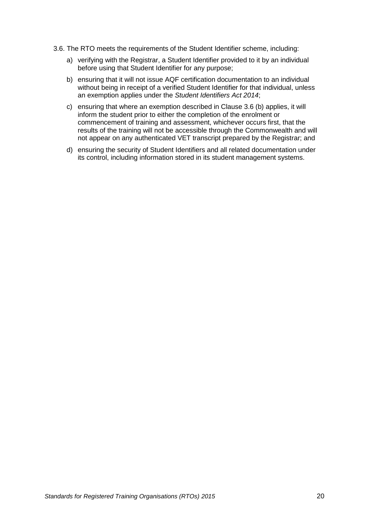- 3.6. The RTO meets the requirements of the Student Identifier scheme, including:
	- a) verifying with the Registrar, a Student Identifier provided to it by an individual before using that Student Identifier for any purpose;
	- b) ensuring that it will not issue AQF certification documentation to an individual without being in receipt of a verified Student Identifier for that individual, unless an exemption applies under the *Student Identifiers Act 2014*;
	- c) ensuring that where an exemption described in Clause 3.6 (b) applies, it will inform the student prior to either the completion of the enrolment or commencement of training and assessment, whichever occurs first, that the results of the training will not be accessible through the Commonwealth and will not appear on any authenticated VET transcript prepared by the Registrar; and
	- d) ensuring the security of Student Identifiers and all related documentation under its control, including information stored in its student management systems.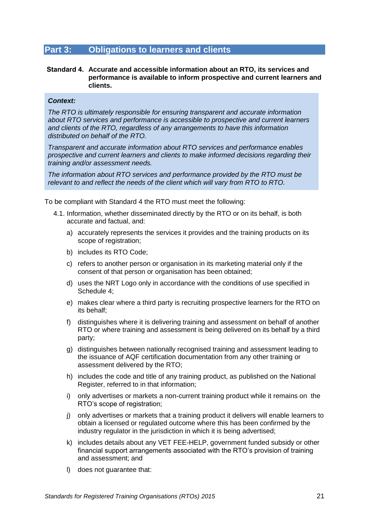### <span id="page-20-0"></span>**Part 3: Obligations to learners and clients**

#### **Standard 4. Accurate and accessible information about an RTO, its services and performance is available to inform prospective and current learners and clients.**

#### *Context:*

*The RTO is ultimately responsible for ensuring transparent and accurate information about RTO services and performance is accessible to prospective and current learners and clients of the RTO, regardless of any arrangements to have this information distributed on behalf of the RTO.* 

*Transparent and accurate information about RTO services and performance enables prospective and current learners and clients to make informed decisions regarding their training and/or assessment needs.*

*The information about RTO services and performance provided by the RTO must be relevant to and reflect the needs of the client which will vary from RTO to RTO.* 

To be compliant with [Standard 4](#page-20-0) the RTO must meet the following:

- 4.1. Information, whether disseminated directly by the RTO or on its behalf, is both accurate and factual, and:
	- a) accurately represents the services it provides and the training products on its scope of registration;
	- b) includes its RTO Code;
	- c) refers to another person or organisation in its marketing material only if the consent of that person or organisation has been obtained;
	- d) uses the NRT Logo only in accordance with the conditions of use specified in Schedule 4;
	- e) makes clear where a third party is recruiting prospective learners for the RTO on its behalf;
	- f) distinguishes where it is delivering training and assessment on behalf of another RTO or where training and assessment is being delivered on its behalf by a third party;
	- g) distinguishes between nationally recognised training and assessment leading to the issuance of AQF certification documentation from any other training or assessment delivered by the RTO;
	- h) includes the code and title of any training product, as published on the National Register, referred to in that information;
	- i) only advertises or markets a non-current training product while it remains on the RTO's scope of registration;
	- j) only advertises or markets that a training product it delivers will enable learners to obtain a licensed or regulated outcome where this has been confirmed by the industry regulator in the jurisdiction in which it is being advertised;
	- k) includes details about any VET FEE-HELP, government funded subsidy or other financial support arrangements associated with the RTO's provision of training and assessment; and
	- l) does not guarantee that: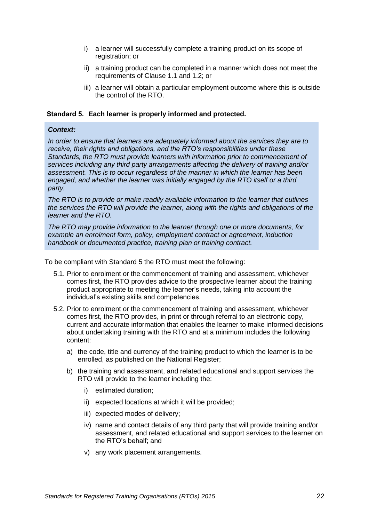- i) a learner will successfully complete a training product on its scope of registration; or
- ii) a training product can be completed in a manner which does not meet the requirements of Clause 1.1 and 1.2; or
- iii) a learner will obtain a particular employment outcome where this is outside the control of the RTO.

#### **Standard 5. Each learner is properly informed and protected.**

#### *Context:*

*In order to ensure that learners are adequately informed about the services they are to receive, their rights and obligations, and the RTO's responsibilities under these Standards, the RTO must provide learners with information prior to commencement of services including any third party arrangements affecting the delivery of training and/or assessment. This is to occur regardless of the manner in which the learner has been engaged, and whether the learner was initially engaged by the RTO itself or a third party.*

*The RTO is to provide or make readily available information to the learner that outlines the services the RTO will provide the learner, along with the rights and obligations of the learner and the RTO.*

*The RTO may provide information to the learner through one or more documents, for example an enrolment form, policy, employment contract or agreement, induction handbook or documented practice, training plan or training contract.*

To be compliant with Standard 5 the RTO must meet the following:

- 5.1. Prior to enrolment or the commencement of training and assessment, whichever comes first, the RTO provides advice to the prospective learner about the training product appropriate to meeting the learner's needs, taking into account the individual's existing skills and competencies.
- 5.2. Prior to enrolment or the commencement of training and assessment, whichever comes first, the RTO provides, in print or through referral to an electronic copy, current and accurate information that enables the learner to make informed decisions about undertaking training with the RTO and at a minimum includes the following content:
	- a) the code, title and currency of the training product to which the learner is to be enrolled, as published on the National Register;
	- b) the training and assessment, and related educational and support services the RTO will provide to the learner including the:
		- i) estimated duration;
		- ii) expected locations at which it will be provided;
		- iii) expected modes of delivery;
		- iv) name and contact details of any third party that will provide training and/or assessment, and related educational and support services to the learner on the RTO's behalf; and
		- v) any work placement arrangements.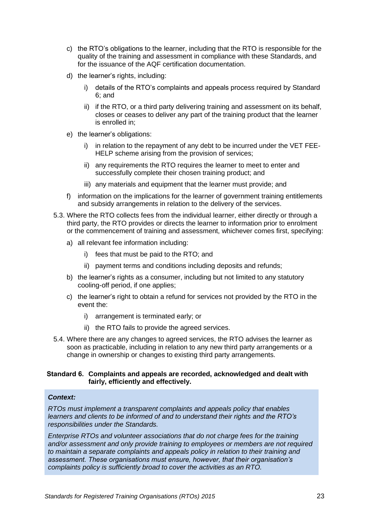- c) the RTO's obligations to the learner, including that the RTO is responsible for the quality of the training and assessment in compliance with these Standards, and for the issuance of the AQF certification documentation.
- d) the learner's rights, including:
	- i) details of the RTO's complaints and appeals process required by [Standard](#page-22-0)  [6;](#page-22-0) and
	- ii) if the RTO, or a third party delivering training and assessment on its behalf, closes or ceases to deliver any part of the training product that the learner is enrolled in;
- e) the learner's obligations:
	- i) in relation to the repayment of any debt to be incurred under the VET FEE-HELP scheme arising from the provision of services;
	- ii) any requirements the RTO requires the learner to meet to enter and successfully complete their chosen training product; and
	- iii) any materials and equipment that the learner must provide; and
- f) information on the implications for the learner of government training entitlements and subsidy arrangements in relation to the delivery of the services.
- 5.3. Where the RTO collects fees from the individual learner, either directly or through a third party, the RTO provides or directs the learner to information prior to enrolment or the commencement of training and assessment, whichever comes first, specifying:
	- a) all relevant fee information including:
		- i) fees that must be paid to the RTO; and
		- ii) payment terms and conditions including deposits and refunds;
	- b) the learner's rights as a consumer, including but not limited to any statutory cooling-off period, if one applies;
	- c) the learner's right to obtain a refund for services not provided by the RTO in the event the:
		- i) arrangement is terminated early; or
		- ii) the RTO fails to provide the agreed services.
- 5.4. Where there are any changes to agreed services, the RTO advises the learner as soon as practicable, including in relation to any new third party arrangements or a change in ownership or changes to existing third party arrangements.

#### <span id="page-22-0"></span>**Standard 6. Complaints and appeals are recorded, acknowledged and dealt with fairly, efficiently and effectively.**

#### *Context:*

*RTOs must implement a transparent complaints and appeals policy that enables learners and clients to be informed of and to understand their rights and the RTO's responsibilities under the Standards.*

*Enterprise RTOs and volunteer associations that do not charge fees for the training and/or assessment and only provide training to employees or members are not required to maintain a separate complaints and appeals policy in relation to their training and assessment. These organisations must ensure, however, that their organisation's complaints policy is sufficiently broad to cover the activities as an RTO.*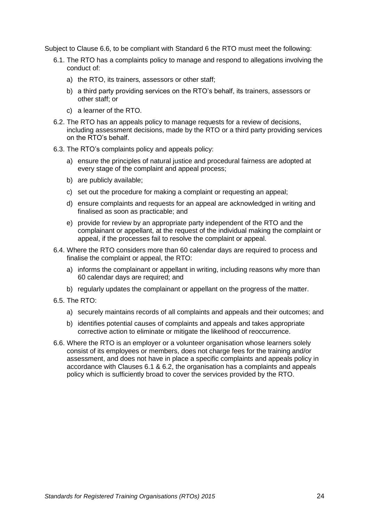Subject to Clause 6.6, to be compliant with [Standard 6](#page-22-0) the RTO must meet the following:

- 6.1. The RTO has a complaints policy to manage and respond to allegations involving the conduct of:
	- a) the RTO, its trainers*,* assessors or other staff;
	- b) a third party providing services on the RTO's behalf, its trainers, assessors or other staff; or
	- c) a learner of the RTO.
- 6.2. The RTO has an appeals policy to manage requests for a review of decisions, including assessment decisions, made by the RTO or a third party providing services on the RTO's behalf.
- 6.3. The RTO's complaints policy and appeals policy:
	- a) ensure the principles of natural justice and procedural fairness are adopted at every stage of the complaint and appeal process;
	- b) are publicly available;
	- c) set out the procedure for making a complaint or requesting an appeal;
	- d) ensure complaints and requests for an appeal are acknowledged in writing and finalised as soon as practicable; and
	- e) provide for review by an appropriate party independent of the RTO and the complainant or appellant, at the request of the individual making the complaint or appeal, if the processes fail to resolve the complaint or appeal.
- 6.4. Where the RTO considers more than 60 calendar days are required to process and finalise the complaint or appeal, the RTO:
	- a) informs the complainant or appellant in writing, including reasons why more than 60 calendar days are required; and
	- b) regularly updates the complainant or appellant on the progress of the matter.
- 6.5. The RTO:
	- a) securely maintains records of all complaints and appeals and their outcomes; and
	- b) identifies potential causes of complaints and appeals and takes appropriate corrective action to eliminate or mitigate the likelihood of reoccurrence.
- 6.6. Where the RTO is an employer or a volunteer organisation whose learners solely consist of its employees or members, does not charge fees for the training and/or assessment, and does not have in place a specific complaints and appeals policy in accordance with Clauses 6.1 & 6.2, the organisation has a complaints and appeals policy which is sufficiently broad to cover the services provided by the RTO.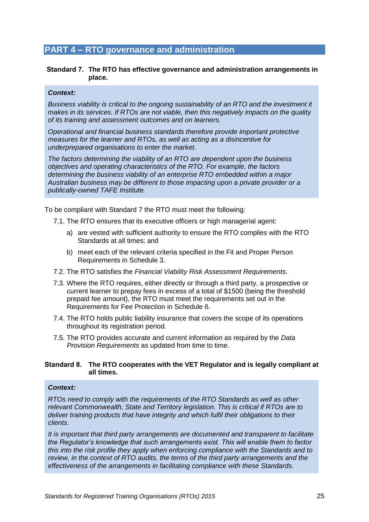### <span id="page-24-1"></span>**PART 4 – RTO governance and administration**

#### **Standard 7. The RTO has effective governance and administration arrangements in place.**

#### *Context:*

*Business viability is critical to the ongoing sustainability of an RTO and the investment it makes in its services. If RTOs are not viable, then this negatively impacts on the quality of its training and assessment outcomes and on learners.* 

*Operational and financial business standards therefore provide important protective measures for the learner and RTOs, as well as acting as a disincentive for underprepared organisations to enter the market.*

*The factors determining the viability of an RTO are dependent upon the business objectives and operating characteristics of the RTO. For example, the factors determining the business viability of an enterprise RTO embedded within a major Australian business may be different to those impacting upon a private provider or a publically-owned TAFE Institute.*

To be compliant with [Standard 7](#page-24-1) the RTO must meet the following:

- 7.1. The RTO ensures that its executive officers or high managerial agent:
	- a) are vested with sufficient authority to ensure the RTO complies with the RTO Standards at all times; and
	- b) meet each of the relevant criteria specified in the Fit and Proper Person Requirements in Schedule 3.
- 7.2. The RTO satisfies the *Financial Viability Risk Assessment Requirements*.
- 7.3. Where the RTO requires, either directly or through a third party, a prospective or current learner to prepay fees in excess of a total of \$1500 (being the threshold prepaid fee amount), the RTO must meet the requirements set out in the Requirements for Fee Protection in Schedule 6.
- 7.4. The RTO holds public liability insurance that covers the scope of its operations throughout its registration period.
- <span id="page-24-0"></span>7.5. The RTO provides accurate and current information as required by the *Data Provision Requirements* as updated from time to time.

#### <span id="page-24-2"></span>**Standard 8. The RTO cooperates with the VET Regulator and is legally compliant at all times.**

#### *Context:*

*RTOs need to comply with the requirements of the RTO Standards as well as other relevant Commonwealth, State and Territory legislation. This is critical if RTOs are to deliver training products that have integrity and which fulfil their obligations to their clients.*

*It is important that third party arrangements are documented and transparent to facilitate the Regulator's knowledge that such arrangements exist. This will enable them to factor this into the risk profile they apply when enforcing compliance with the Standards and to review, in the context of RTO audits, the terms of the third party arrangements and the effectiveness of the arrangements in facilitating compliance with these Standards.*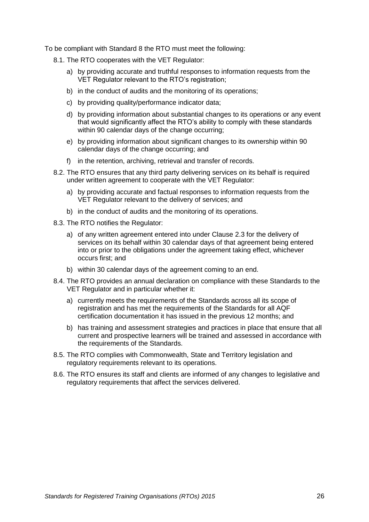To be compliant with [Standard 8](#page-24-2) the RTO must meet the following:

- 8.1. The RTO cooperates with the VET Regulator:
	- a) by providing accurate and truthful responses to information requests from the VET Regulator relevant to the RTO's registration;
	- b) in the conduct of audits and the monitoring of its operations;
	- c) by providing quality/performance indicator data;
	- d) by providing information about substantial changes to its operations or any event that would significantly affect the RTO's ability to comply with these standards within 90 calendar days of the change occurring;
	- e) by providing information about significant changes to its ownership within 90 calendar days of the change occurring; and
	- f) in the retention, archiving, retrieval and transfer of records.
- 8.2. The RTO ensures that any third party delivering services on its behalf is required under written agreement to cooperate with the VET Regulator:
	- a) by providing accurate and factual responses to information requests from the VET Regulator relevant to the delivery of services; and
	- b) in the conduct of audits and the monitoring of its operations.
- 8.3. The RTO notifies the Regulator:
	- a) of any written agreement entered into under Clause [2.3](#page-18-1) for the delivery of services on its behalf within 30 calendar days of that agreement being entered into or prior to the obligations under the agreement taking effect, whichever occurs first; and
	- b) within 30 calendar days of the agreement coming to an end.
- 8.4. The RTO provides an annual declaration on compliance with these Standards to the VET Regulator and in particular whether it:
	- a) currently meets the requirements of the Standards across all its scope of registration and has met the requirements of the Standards for all AQF certification documentation it has issued in the previous 12 months; and
	- b) has training and assessment strategies and practices in place that ensure that all current and prospective learners will be trained and assessed in accordance with the requirements of the Standards.
- 8.5. The RTO complies with Commonwealth, State and Territory legislation and regulatory requirements relevant to its operations.
- 8.6. The RTO ensures its staff and clients are informed of any changes to legislative and regulatory requirements that affect the services delivered.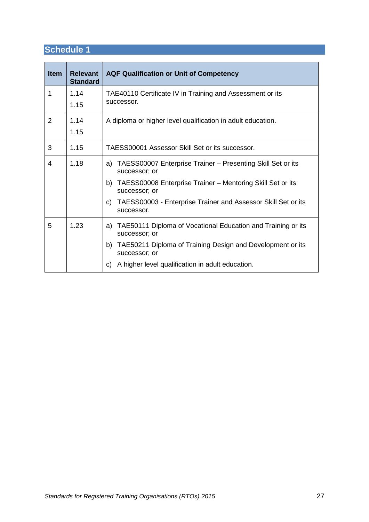<span id="page-26-0"></span>

| <b>Item</b> | <b>Relevant</b><br><b>Standard</b> | <b>AQF Qualification or Unit of Competency</b>                                    |  |
|-------------|------------------------------------|-----------------------------------------------------------------------------------|--|
| 1           | 1.14                               | TAE40110 Certificate IV in Training and Assessment or its                         |  |
|             | 1.15                               | successor.                                                                        |  |
| 2           | 1.14                               | A diploma or higher level qualification in adult education.                       |  |
|             | 1.15                               |                                                                                   |  |
| 3           | 1.15                               | TAESS00001 Assessor Skill Set or its successor.                                   |  |
| 4           | 1.18                               | a) TAESS00007 Enterprise Trainer – Presenting Skill Set or its<br>successor; or   |  |
|             |                                    | TAESS00008 Enterprise Trainer - Mentoring Skill Set or its<br>b)<br>successor; or |  |
|             |                                    | c) TAESS00003 - Enterprise Trainer and Assessor Skill Set or its<br>successor.    |  |
| 5           | 1.23                               | a) TAE50111 Diploma of Vocational Education and Training or its<br>successor; or  |  |
|             |                                    | TAE50211 Diploma of Training Design and Development or its<br>b)<br>successor; or |  |
|             |                                    | A higher level qualification in adult education.<br>C)                            |  |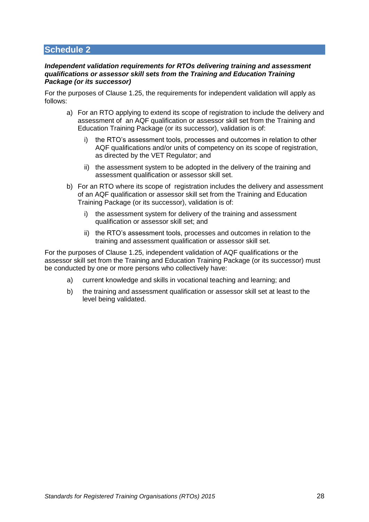#### <span id="page-27-0"></span>*Independent validation requirements for RTOs delivering training and assessment qualifications or assessor skill sets from the Training and Education Training Package (or its successor)*

For the purposes of Clause [1.25,](#page-16-4) the requirements for independent validation will apply as follows:

- a) For an RTO applying to extend its scope of registration to include the delivery and assessment of an AQF qualification or assessor skill set from the Training and Education Training Package (or its successor), validation is of:
	- i) the RTO's assessment tools, processes and outcomes in relation to other AQF qualifications and/or units of competency on its scope of registration, as directed by the VET Regulator; and
	- ii) the assessment system to be adopted in the delivery of the training and assessment qualification or assessor skill set.
- b) For an RTO where its scope of registration includes the delivery and assessment of an AQF qualification or assessor skill set from the Training and Education Training Package (or its successor), validation is of:
	- i) the assessment system for delivery of the training and assessment qualification or assessor skill set; and
	- ii) the RTO's assessment tools, processes and outcomes in relation to the training and assessment qualification or assessor skill set.

For the purposes of Clause [1.25,](#page-16-4) independent validation of AQF qualifications or the assessor skill set from the Training and Education Training Package (or its successor) must be conducted by one or more persons who collectively have:

- a) current knowledge and skills in vocational teaching and learning; and
- b) the training and assessment qualification or assessor skill set at least to the level being validated.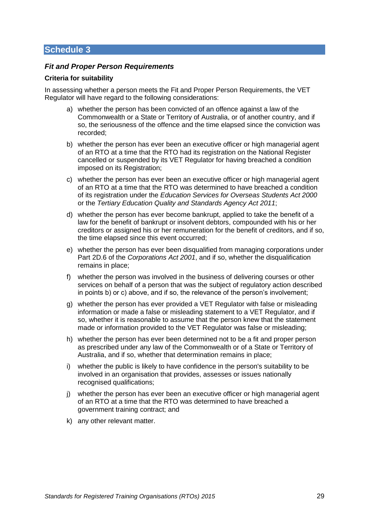#### *Fit and Proper Person Requirements*

#### **Criteria for suitability**

In assessing whether a person meets the Fit and Proper Person Requirements, the VET Regulator will have regard to the following considerations:

- a) whether the person has been convicted of an offence against a law of the Commonwealth or a State or Territory of Australia, or of another country, and if so, the seriousness of the offence and the time elapsed since the conviction was recorded;
- b) whether the person has ever been an executive officer or high managerial agent of an RTO at a time that the RTO had its registration on the National Register cancelled or suspended by its VET Regulator for having breached a condition imposed on its Registration;
- c) whether the person has ever been an executive officer or high managerial agent of an RTO at a time that the RTO was determined to have breached a condition of its registration under the *Education Services for Overseas Students Act 2000* or the *Tertiary Education Quality and Standards Agency Act 2011*;
- d) whether the person has ever become bankrupt, applied to take the benefit of a law for the benefit of bankrupt or insolvent debtors, compounded with his or her creditors or assigned his or her remuneration for the benefit of creditors, and if so, the time elapsed since this event occurred;
- e) whether the person has ever been disqualified from managing corporations under Part 2D.6 of the *Corporations Act 2001*, and if so, whether the disqualification remains in place;
- f) whether the person was involved in the business of delivering courses or other services on behalf of a person that was the subject of regulatory action described in points b) or c) above, and if so, the relevance of the person's involvement;
- g) whether the person has ever provided a VET Regulator with false or misleading information or made a false or misleading statement to a VET Regulator, and if so, whether it is reasonable to assume that the person knew that the statement made or information provided to the VET Regulator was false or misleading;
- h) whether the person has ever been determined not to be a fit and proper person as prescribed under any law of the Commonwealth or of a State or Territory of Australia, and if so, whether that determination remains in place;
- i) whether the public is likely to have confidence in the person's suitability to be involved in an organisation that provides, assesses or issues nationally recognised qualifications;
- j) whether the person has ever been an executive officer or high managerial agent of an RTO at a time that the RTO was determined to have breached a government training contract; and
- k) any other relevant matter.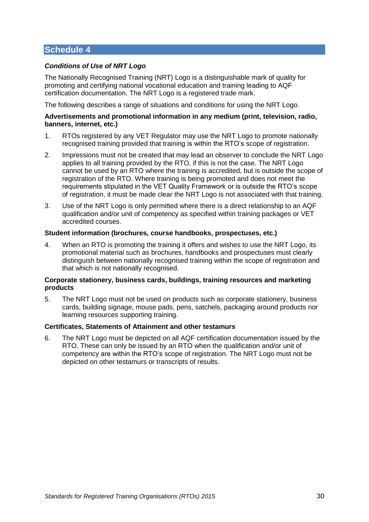#### *Conditions of Use of NRT Logo*

The Nationally Recognised Training (NRT) Logo is a distinguishable mark of quality for promoting and certifying national vocational education and training leading to AQF certification documentation. The NRT Logo is a registered trade mark.

The following describes a range of situations and conditions for using the NRT Logo.

#### **Advertisements and promotional information in any medium (print, television, radio, banners, internet, etc.)**

- 1. RTOs registered by any VET Regulator may use the NRT Logo to promote nationally recognised training provided that training is within the RTO's scope of registration.
- 2. Impressions must not be created that may lead an observer to conclude the NRT Logo applies to all training provided by the RTO, if this is not the case. The NRT Logo cannot be used by an RTO where the training is accredited, but is outside the scope of registration of the RTO. Where training is being promoted and does not meet the requirements stipulated in the VET Quality Framework or is outside the RTO's scope of registration, it must be made clear the NRT Logo is not associated with that training.
- 3. Use of the NRT Logo is only permitted where there is a direct relationship to an AQF qualification and/or unit of competency as specified within training packages or VET accredited courses.

#### **Student information (brochures, course handbooks, prospectuses, etc.)**

4. When an RTO is promoting the training it offers and wishes to use the NRT Logo, its promotional material such as brochures, handbooks and prospectuses must clearly distinguish between nationally recognised training within the scope of registration and that which is not nationally recognised.

#### **Corporate stationery, business cards, buildings, training resources and marketing products**

5. The NRT Logo must not be used on products such as corporate stationery, business cards, building signage, mouse pads, pens, satchels, packaging around products nor learning resources supporting training.

#### **Certificates, Statements of Attainment and other testamurs**

6. The NRT Logo must be depicted on all AQF certification documentation issued by the RTO. These can only be issued by an RTO when the qualification and/or unit of competency are within the RTO's scope of registration. The NRT Logo must not be depicted on other testamurs or transcripts of results.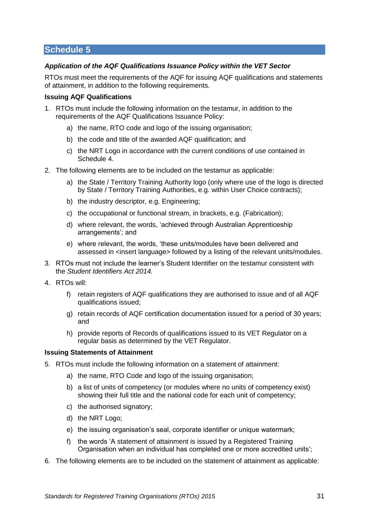#### *Application of the AQF Qualifications Issuance Policy within the VET Sector*

RTOs must meet the requirements of the AQF for issuing AQF qualifications and statements of attainment, in addition to the following requirements.

#### **Issuing AQF Qualifications**

- 1. RTOs must include the following information on the testamur, in addition to the requirements of the AQF Qualifications Issuance Policy:
	- a) the name, RTO code and logo of the issuing organisation;
	- b) the code and title of the awarded AQF qualification; and
	- c) the NRT Logo in accordance with the current conditions of use contained in Schedule 4.
- 2. The following elements are to be included on the testamur as applicable:
	- a) the State / Territory Training Authority logo (only where use of the logo is directed by State / Territory Training Authorities, e.g. within User Choice contracts);
	- b) the industry descriptor, e.g. Engineering;
	- c) the occupational or functional stream, in brackets, e.g. (Fabrication);
	- d) where relevant, the words, 'achieved through Australian Apprenticeship arrangements'; and
	- e) where relevant, the words, 'these units/modules have been delivered and assessed in <insert language> followed by a listing of the relevant units/modules.
- 3. RTOs must not include the learner's Student Identifier on the testamur consistent with the *Student Identifiers Act 2014.*
- 4. RTOs will:
	- f) retain registers of AQF qualifications they are authorised to issue and of all AQF qualifications issued;
	- g) retain records of AQF certification documentation issued for a period of 30 years; and
	- h) provide reports of Records of qualifications issued to its VET Regulator on a regular basis as determined by the VET Regulator.

#### **Issuing Statements of Attainment**

- 5. RTOs must include the following information on a statement of attainment:
	- a) the name, RTO Code and logo of the issuing organisation;
	- b) a list of units of competency (or modules where no units of competency exist) showing their full title and the national code for each unit of competency;
	- c) the authorised signatory;
	- d) the NRT Logo;
	- e) the issuing organisation's seal, corporate identifier or unique watermark;
	- f) the words 'A statement of attainment is issued by a Registered Training Organisation when an individual has completed one or more accredited units';
- 6. The following elements are to be included on the statement of attainment as applicable: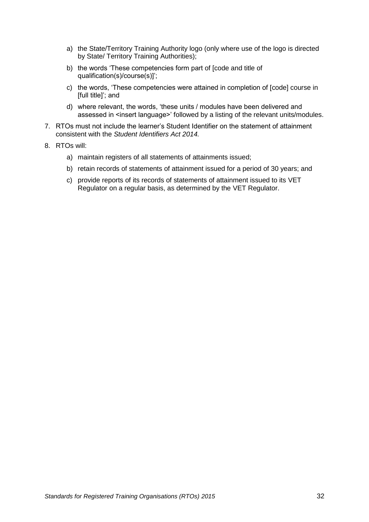- a) the State/Territory Training Authority logo (only where use of the logo is directed by State/ Territory Training Authorities);
- b) the words 'These competencies form part of [code and title of qualification(s)/course(s)]';
- c) the words, 'These competencies were attained in completion of [code] course in [full title]'; and
- d) where relevant, the words, 'these units / modules have been delivered and assessed in <insert language>' followed by a listing of the relevant units/modules.
- 7. RTOs must not include the learner's Student Identifier on the statement of attainment consistent with the *Student Identifiers Act 2014.*
- 8. RTOs will:
	- a) maintain registers of all statements of attainments issued;
	- b) retain records of statements of attainment issued for a period of 30 years; and
	- c) provide reports of its records of statements of attainment issued to its VET Regulator on a regular basis, as determined by the VET Regulator.